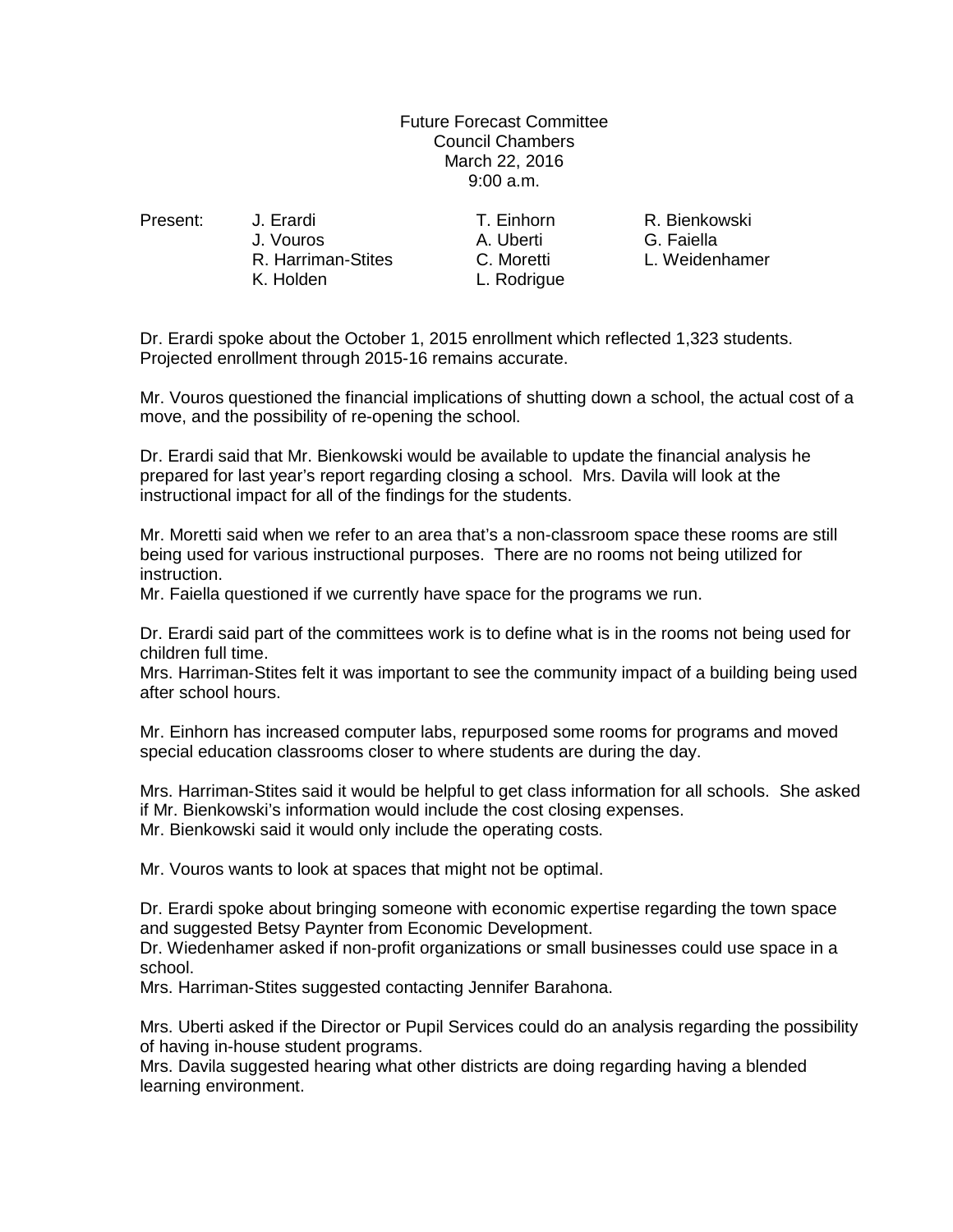Future Forecast Committee Council Chambers March 22, 2016 9:00 a.m.

J. Vouros A. Uberti G. Faiella

R. Harriman-Stites C. Moretti L. Weidenhamer K. Holden L. Rodrigue

Present: J. Erardi T. Einhorn R. Bienkowski

Dr. Erardi spoke about the October 1, 2015 enrollment which reflected 1,323 students. Projected enrollment through 2015-16 remains accurate.

Mr. Vouros questioned the financial implications of shutting down a school, the actual cost of a move, and the possibility of re-opening the school.

Dr. Erardi said that Mr. Bienkowski would be available to update the financial analysis he prepared for last year's report regarding closing a school. Mrs. Davila will look at the instructional impact for all of the findings for the students.

Mr. Moretti said when we refer to an area that's a non-classroom space these rooms are still being used for various instructional purposes. There are no rooms not being utilized for instruction.

Mr. Faiella questioned if we currently have space for the programs we run.

Dr. Erardi said part of the committees work is to define what is in the rooms not being used for children full time.

Mrs. Harriman-Stites felt it was important to see the community impact of a building being used after school hours.

Mr. Einhorn has increased computer labs, repurposed some rooms for programs and moved special education classrooms closer to where students are during the day.

Mrs. Harriman-Stites said it would be helpful to get class information for all schools. She asked if Mr. Bienkowski's information would include the cost closing expenses. Mr. Bienkowski said it would only include the operating costs.

Mr. Vouros wants to look at spaces that might not be optimal.

Dr. Erardi spoke about bringing someone with economic expertise regarding the town space and suggested Betsy Paynter from Economic Development.

Dr. Wiedenhamer asked if non-profit organizations or small businesses could use space in a school.

Mrs. Harriman-Stites suggested contacting Jennifer Barahona.

Mrs. Uberti asked if the Director or Pupil Services could do an analysis regarding the possibility of having in-house student programs.

Mrs. Davila suggested hearing what other districts are doing regarding having a blended learning environment.